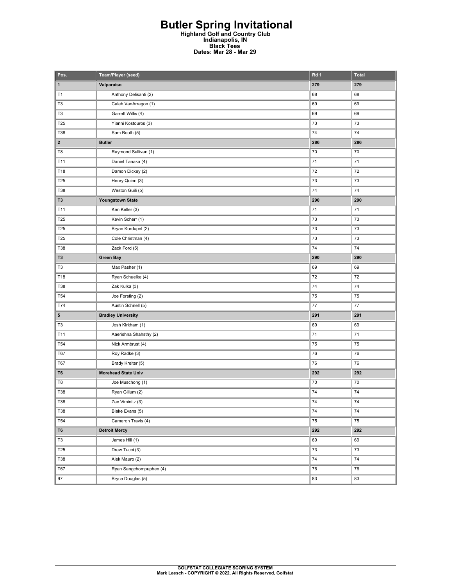## **Butler Spring Invitational Highland Golf and Country Club Indianapolis, IN Black Tees Dates: Mar 28 - Mar 29**

| Pos.                    | Team/Player (seed)         | Rd 1 | <b>Total</b> |
|-------------------------|----------------------------|------|--------------|
| $\mathbf{1}$            | Valparaiso                 | 279  | 279          |
| T1                      | Anthony Delisanti (2)      | 68   | 68           |
| T <sub>3</sub>          | Caleb VanArragon (1)       | 69   | 69           |
| T3                      | Garrett Willis (4)         | 69   | 69           |
| T25                     | Yianni Kostouros (3)       | 73   | 73           |
| T38                     | Sam Booth (5)              | 74   | 74           |
| $\overline{\mathbf{2}}$ | <b>Butler</b>              | 286  | 286          |
| T8                      | Raymond Sullivan (1)       | 70   | 70           |
| T11                     | Daniel Tanaka (4)          | 71   | 71           |
| T18                     | Damon Dickey (2)           | 72   | 72           |
| T25                     | Henry Quinn (3)            | 73   | 73           |
| T38                     | Weston Guili (5)           | 74   | 74           |
| T3                      | <b>Youngstown State</b>    | 290  | 290          |
| T11                     | Ken Keller (3)             | 71   | 71           |
| T25                     | Kevin Scherr (1)           | 73   | 73           |
| T25                     | Bryan Kordupel (2)         | 73   | 73           |
| T25                     | Cole Christman (4)         | 73   | 73           |
| T38                     | Zack Ford (5)              | 74   | 74           |
| T3                      | <b>Green Bay</b>           | 290  | 290          |
| T3                      | Max Pasher (1)             | 69   | 69           |
| T18                     | Ryan Schuelke (4)          | 72   | 72           |
| <b>T38</b>              | Zak Kulka (3)              | 74   | 74           |
| T <sub>54</sub>         | Joe Forsting (2)           | 75   | 75           |
| T74                     | Austin Schnell (5)         | 77   | $77 \,$      |
| 5                       | <b>Bradley University</b>  | 291  | 291          |
| T3                      | Josh Kirkham (1)           | 69   | 69           |
| T11                     | Aaerishna Shahsthy (2)     | 71   | 71           |
| T <sub>54</sub>         | Nick Armbrust (4)          | 75   | 75           |
| T67                     | Roy Radke (3)              | 76   | 76           |
| <b>T67</b>              | Brady Kreiter (5)          | 76   | 76           |
| T6                      | <b>Morehead State Univ</b> | 292  | 292          |
| T8                      | Joe Muschong (1)           | 70   | 70           |
| <b>T38</b>              | Ryan Gillum (2)            | 74   | 74           |
| T38                     | Zac Viminitz (3)           | 74   | 74           |
| T38                     | Blake Evans (5)            | 74   | 74           |
| <b>T54</b>              | Cameron Travis (4)         | 75   | 75           |
| T6                      | <b>Detroit Mercy</b>       | 292  | 292          |
| T <sub>3</sub>          | James Hill (1)             | 69   | 69           |
| T <sub>25</sub>         | Drew Tucci (3)             | 73   | 73           |
| T38                     | Alek Mauro (2)             | 74   | 74           |
| T67                     | Ryan Sangchompuphen (4)    | 76   | 76           |
| 97                      | Bryce Douglas (5)          | 83   | 83           |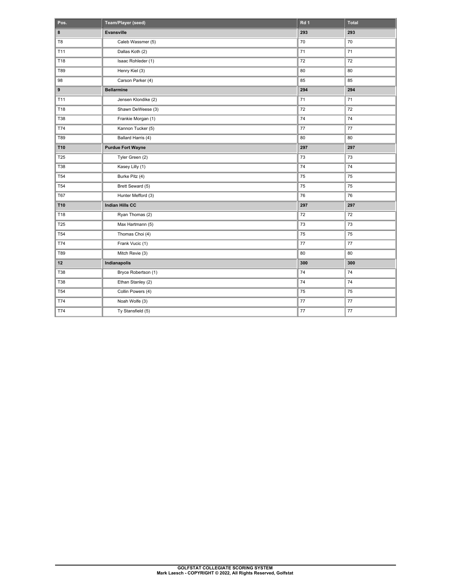| Pos.            | Team/Player (seed)       | Rd 1 | <b>Total</b> |
|-----------------|--------------------------|------|--------------|
| 8               | Evansville               | 293  | 293          |
| T <sub>8</sub>  | Caleb Wassmer (5)        | 70   | 70           |
| T11             | Dallas Koth (2)          | 71   | 71           |
| T <sub>18</sub> | Isaac Rohleder (1)       | 72   | 72           |
| T89             | Henry Kiel (3)           | 80   | 80           |
| 98              | Carson Parker (4)        | 85   | 85           |
| 9               | <b>Bellarmine</b>        | 294  | 294          |
| T11             | Jensen Klondike (2)      | 71   | 71           |
| T18             | Shawn DeWeese (3)        | 72   | 72           |
| <b>T38</b>      | Frankie Morgan (1)       | 74   | 74           |
| T74             | Kannon Tucker (5)        | 77   | 77           |
| T89             | Ballard Harris (4)       | 80   | 80           |
| <b>T10</b>      | <b>Purdue Fort Wayne</b> | 297  | 297          |
| <b>T25</b>      | Tyler Green (2)          | 73   | 73           |
| <b>T38</b>      | Kasey Lilly (1)          | 74   | 74           |
| <b>T54</b>      | Burke Pitz (4)           | 75   | 75           |
| <b>T54</b>      | Brett Seward (5)         | 75   | 75           |
| <b>T67</b>      | Hunter Mefford (3)       | 76   | 76           |
| T10             | Indian Hills CC          | 297  | 297          |
| T18             | Ryan Thomas (2)          | 72   | 72           |
| <b>T25</b>      | Max Hartmann (5)         | 73   | 73           |
| <b>T54</b>      | Thomas Choi (4)          | 75   | 75           |
| T74             | Frank Vucic (1)          | 77   | $77$         |
| T89             | Mitch Revie (3)          | 80   | 80           |
| 12              | Indianapolis             | 300  | 300          |
| <b>T38</b>      | Bryce Robertson (1)      | 74   | 74           |
| <b>T38</b>      | Ethan Stanley (2)        | 74   | 74           |
| <b>T54</b>      | Collin Powers (4)        | 75   | 75           |
| T74             | Noah Wolfe (3)           | 77   | $77 \,$      |
| T74             | Ty Stansfield (5)        | 77   | 77           |